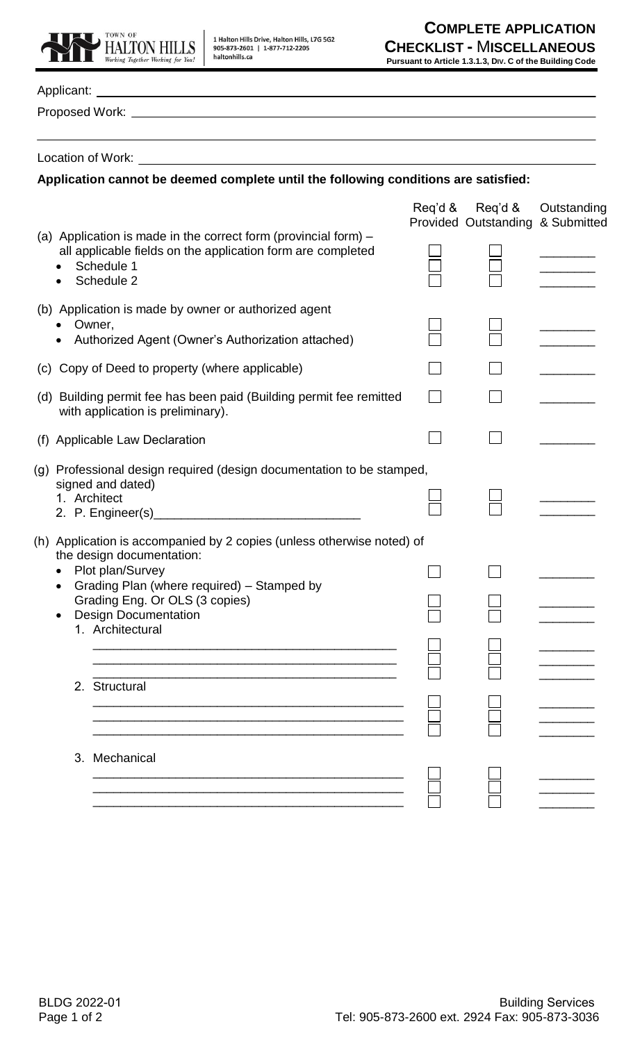

| Location of Work:<br><u> 1980 - Johann John Stone, markin fizik eta idazlearia (h. 1980).</u>                                                                             |                                                     |             |
|---------------------------------------------------------------------------------------------------------------------------------------------------------------------------|-----------------------------------------------------|-------------|
| Application cannot be deemed complete until the following conditions are satisfied:                                                                                       |                                                     |             |
|                                                                                                                                                                           | Req'd & Req'd &<br>Provided Outstanding & Submitted | Outstanding |
| (a) Application is made in the correct form (provincial form) $-$<br>all applicable fields on the application form are completed<br>Schedule 1<br>Schedule 2<br>$\bullet$ |                                                     |             |
| (b) Application is made by owner or authorized agent<br>Owner,                                                                                                            |                                                     |             |
| Authorized Agent (Owner's Authorization attached)                                                                                                                         |                                                     |             |
| (c) Copy of Deed to property (where applicable)                                                                                                                           |                                                     |             |
| (d) Building permit fee has been paid (Building permit fee remitted<br>with application is preliminary).                                                                  |                                                     |             |
| (f) Applicable Law Declaration                                                                                                                                            |                                                     |             |
| (g) Professional design required (design documentation to be stamped,<br>signed and dated)<br>1. Architect                                                                |                                                     |             |
| (h) Application is accompanied by 2 copies (unless otherwise noted) of<br>the design documentation:                                                                       |                                                     |             |
| Plot plan/Survey<br>Grading Plan (where required) - Stamped by                                                                                                            |                                                     |             |
| Grading Eng. Or OLS (3 copies)<br><b>Design Documentation</b><br>1. Architectural                                                                                         |                                                     |             |
| <u> 1989 - Johann Stoff, amerikansk politiker (* 1908)</u>                                                                                                                |                                                     |             |
| 2. Structural                                                                                                                                                             |                                                     |             |
| 3. Mechanical                                                                                                                                                             |                                                     |             |
|                                                                                                                                                                           |                                                     |             |